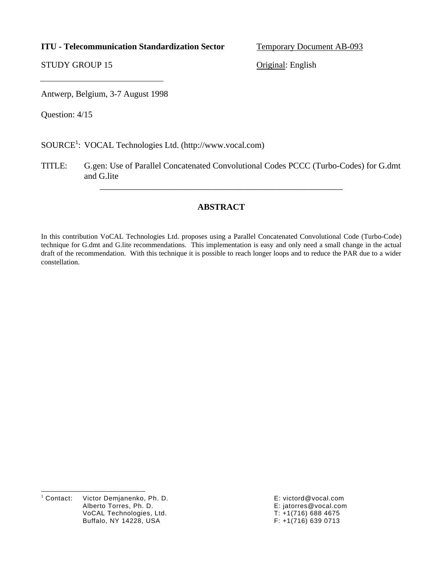### **ITU - Telecommunication Standardization Sector** Temporary Document AB-093

STUDY GROUP 15 Original: English

Antwerp, Belgium, 3-7 August 1998

Question: 4/15

SOURCE<sup>1</sup>: VOCAL Technologies Ltd. [\(http://www.vocal.com\)](http://www.vocal.com)

TITLE: G.gen: Use of Parallel Concatenated Convolutional Codes PCCC (Turbo-Codes) for G.dmt and G.lite

\_\_\_\_\_\_\_\_\_\_\_\_\_\_\_\_\_\_\_\_\_\_\_\_\_\_\_\_\_\_\_\_\_\_\_\_\_\_\_\_\_\_\_\_\_\_\_\_\_\_\_\_\_\_\_\_

## **ABSTRACT**

In this contribution VoCAL Technologies Ltd. proposes using a Parallel Concatenated Convolutional Code (Turbo-Code) technique for G.dmt and G.lite recommendations. This implementation is easy and only need a small change in the actual draft of the recommendation. With this technique it is possible to reach longer loops and to reduce the PAR due to a wider constellation.

|<br>|<br>| Victor Demjanenko, Ph. D. E: victord@vocal.com Alberto Torres, Ph. D. E: jatorres@vocal.com<br>VoCAL Technologies, Ltd. E: E: France T: +1(716) 688 4675 VoCAL Technologies, Ltd. T: +1(716) 688 4675 Buffalo, NY 14228, USA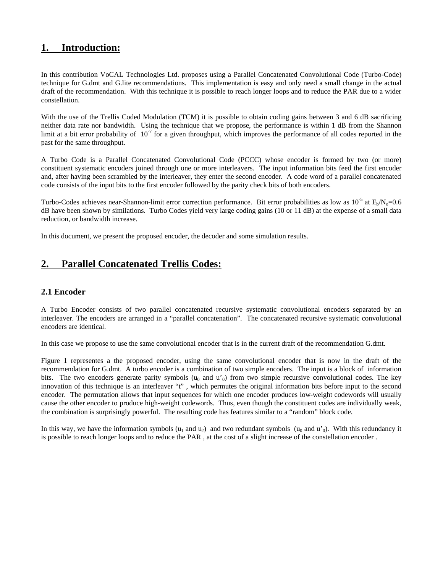## **1. Introduction:**

In this contribution VoCAL Technologies Ltd. proposes using a Parallel Concatenated Convolutional Code (Turbo-Code) technique for G.dmt and G.lite recommendations. This implementation is easy and only need a small change in the actual draft of the recommendation. With this technique it is possible to reach longer loops and to reduce the PAR due to a wider constellation.

With the use of the Trellis Coded Modulation (TCM) it is possible to obtain coding gains between 3 and 6 dB sacrificing neither data rate nor bandwidth. Using the technique that we propose, the performance is within 1 dB from the Shannon limit at a bit error probability of  $10^{-7}$  for a given throughput, which improves the performance of all codes reported in the past for the same throughput.

A Turbo Code is a Parallel Concatenated Convolutional Code (PCCC) whose encoder is formed by two (or more) constituent systematic encoders joined through one or more interleavers. The input information bits feed the first encoder and, after having been scrambled by the interleaver, they enter the second encoder. A code word of a parallel concatenated code consists of the input bits to the first encoder followed by the parity check bits of both encoders.

Turbo-Codes achieves near-Shannon-limit error correction performance. Bit error probabilities as low as  $10^{-5}$  at  $E_b/N_o=0.6$ dB have been shown by similations. Turbo Codes yield very large coding gains (10 or 11 dB) at the expense of a small data reduction, or bandwidth increase.

In this document, we present the proposed encoder, the decoder and some simulation results.

# **2. Parallel Concatenated Trellis Codes:**

### **2.1 Encoder**

A Turbo Encoder consists of two parallel concatenated recursive systematic convolutional encoders separated by an interleaver. The encoders are arranged in a "parallel concatenation". The concatenated recursive systematic convolutional encoders are identical.

In this case we propose to use the same convolutional encoder that is in the current draft of the recommendation G.dmt.

Figure 1 representes a the proposed encoder, using the same convolutional encoder that is now in the draft of the recommendation for G.dmt. A turbo encoder is a combination of two simple encoders. The input is a block of information bits. The two encoders generate parity symbols  $(u_0 \text{ and } u_0)$  from two simple recursive convolutional codes. The key innovation of this technique is an interleaver "t" , which permutes the original information bits before input to the second encoder. The permutation allows that input sequences for which one encoder produces low-weight codewords will usually cause the other encoder to produce high-weight codewords. Thus, even though the constituent codes are individually weak, the combination is surprisingly powerful. The resulting code has features similar to a "random" block code.

In this way, we have the information symbols  $(u_1$  and  $u_2)$  and two redundant symbols  $(u_0$  and  $u'_0$ ). With this redundancy it is possible to reach longer loops and to reduce the PAR , at the cost of a slight increase of the constellation encoder .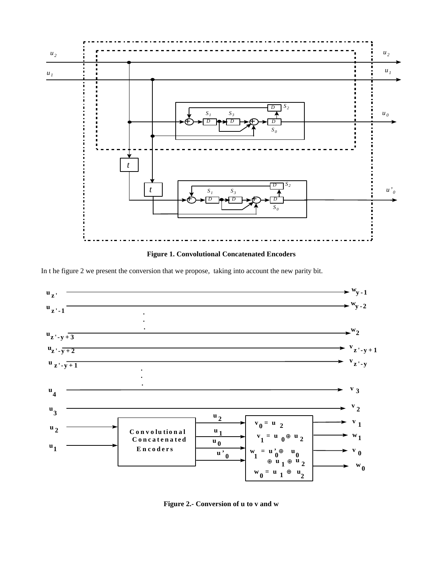

In the figure 2 we present the conversion that we propose, taking into account the new parity bit.



Figure 2.- Conversion of u to v and w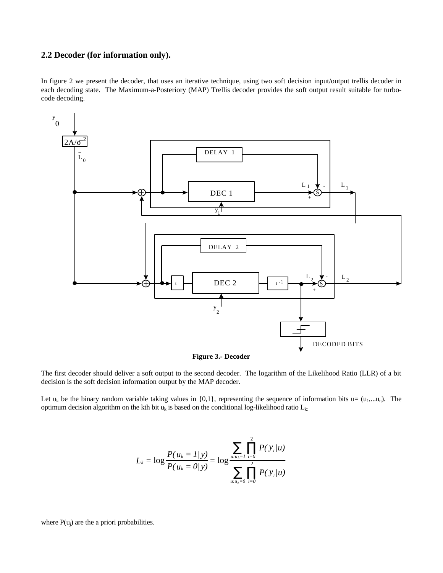#### **2.2 Decoder (for information only).**

In figure 2 we present the decoder, that uses an iterative technique, using two soft decision input/output trellis decoder in each decoding state. The Maximum-a-Posteriory (MAP) Trellis decoder provides the soft output result suitable for turbocode decoding.



**Figure 3.- Decoder**

The first decoder should deliver a soft output to the second decoder. The logarithm of the Likelihood Ratio (LLR) of a bit decision is the soft decision information output by the MAP decoder.

Let  $u_k$  be the binary random variable taking values in {0,1}, representing the sequence of information bits  $u=(u_1,...u_n)$ . The optimum decision algorithm on the kth bit  $u_k$  is based on the conditional log-likelihood ratio  $L_k$ :

$$
L_k = \log \frac{P(u_k = 1/y)}{P(u_k = 0/y)} = \log \frac{\sum_{u:u_k = 1} \prod_{i=0}^{2} P(v_i/u)}{\sum_{u:u_k = 0} \prod_{i=0}^{2} P(v_i/u)}
$$

where  $P(u_i)$  are the a priori probabilities.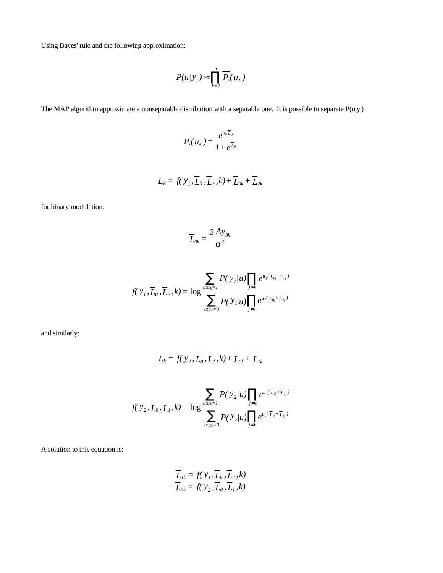Using Bayes' rule and the following approximation:

$$
P(u|y_i) \approx \prod_{k=1}^n \overline{P_i}(u_k)
$$

The MAP algorithm approximate a nonseparable distribution with a separable one. It is possible to separate  $P(u|y_i)$ 

$$
\overline{P}_i(u_k)=\frac{e^{u_k\overline{L}_{ik}}}{1+e^{\overline{L}_{ik}}}
$$

$$
L_k = f(\,y_1,\overline{L}_0,\overline{L}_2,k) + \overline{L}_{0k} + \overline{L}_{2k}
$$

for binary modulation:

$$
\overline{L}_{0k} = \frac{2 A y_{0k}}{s^2}
$$

$$
f(Y_1, \overline{L}_0, \overline{L}_2, k) = \log \frac{\sum_{u:u_k=1} P(Y_1/u) \prod_{j \neq k} e^{u_j (\overline{L}_{0j} + \overline{L}_{2j})}}{\sum_{u:u_k=0} P(Y_1/u) \prod_{j \neq k} e^{u_j (\overline{L}_{0j} + \overline{L}_{2j})}}
$$

and similarly:

$$
L_k = f(\,y_2,\overline{L}_0,\overline{L}_1,k) + \overline{L}_{0k} + \overline{L}_{1k}
$$

$$
f(y_2, \overline{L}_0, \overline{L}_1, k) = \log \frac{\sum_{u:u_k=1} P(y_2/u) \prod_{j \neq k} e^{u_j(\overline{L}_{0j} + \overline{L}_{1j})}}{\sum_{u:u_k=0} P(y_2/u) \prod_{j \neq k} e^{u_j(\overline{L}_{0j} + \overline{L}_{1j})}}
$$

A solution to this equation is:

$$
\overline{L}_{1k} = f(Y_1, \overline{L}_0, \overline{L}_2, k)
$$
  

$$
\overline{L}_{2k} = f(Y_2, \overline{L}_0, \overline{L}_1, k)
$$